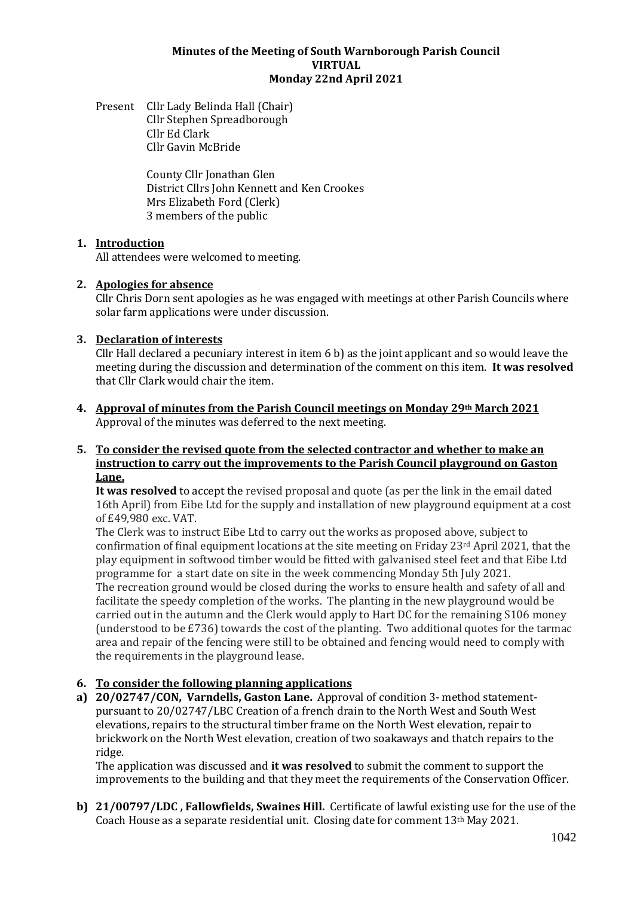#### **Minutes of the Meeting of South Warnborough Parish Council VIRTUAL Monday 22nd April 2021**

Present Cllr Lady Belinda Hall (Chair) Cllr Stephen Spreadborough Cllr Ed Clark Cllr Gavin McBride

> County Cllr Jonathan Glen District Cllrs John Kennett and Ken Crookes Mrs Elizabeth Ford (Clerk) 3 members of the public

# **1. Introduction**

All attendees were welcomed to meeting.

### **2. Apologies for absence**

Cllr Chris Dorn sent apologies as he was engaged with meetings at other Parish Councils where solar farm applications were under discussion.

# **3. Declaration of interests**

Cllr Hall declared a pecuniary interest in item 6 b) as the joint applicant and so would leave the meeting during the discussion and determination of the comment on this item. **It was resolved** that Cllr Clark would chair the item.

**4. Approval of minutes from the Parish Council meetings on Monday 29th March 2021** Approval of the minutes was deferred to the next meeting.

### **5. To consider the revised quote from the selected contractor and whether to make an instruction to carry out the improvements to the Parish Council playground on Gaston Lane.**

**It was resolved** to accept the revised proposal and quote (as per the link in the email dated 16th April) from Eibe Ltd for the supply and installation of new playground equipment at a cost of £49,980 exc. VAT.

The Clerk was to instruct Eibe Ltd to carry out the works as proposed above, subject to confirmation of final equipment locations at the site meeting on Friday 23rd April 2021, that the play equipment in softwood timber would be fitted with galvanised steel feet and that Eibe Ltd programme for a start date on site in the week commencing Monday 5th July 2021. The recreation ground would be closed during the works to ensure health and safety of all and facilitate the speedy completion of the works. The planting in the new playground would be carried out in the autumn and the Clerk would apply to Hart DC for the remaining S106 money (understood to be £736) towards the cost of the planting. Two additional quotes for the tarmac area and repair of the fencing were still to be obtained and fencing would need to comply with the requirements in the playground lease.

# **6. To consider the following planning applications**

**a) 20/02747/CON, Varndells, Gaston Lane.** Approval of condition 3- method statementpursuant to 20/02747/LBC Creation of a french drain to the North West and South West elevations, repairs to the structural timber frame on the North West elevation, repair to brickwork on the North West elevation, creation of two soakaways and thatch repairs to the ridge.

The application was discussed and **it was resolved** to submit the comment to support the improvements to the building and that they meet the requirements of the Conservation Officer.

**b) 21/00797/LDC , Fallowfields, Swaines Hill.** Certificate of lawful existing use for the use of the Coach House as a separate residential unit. Closing date for comment 13th May 2021.